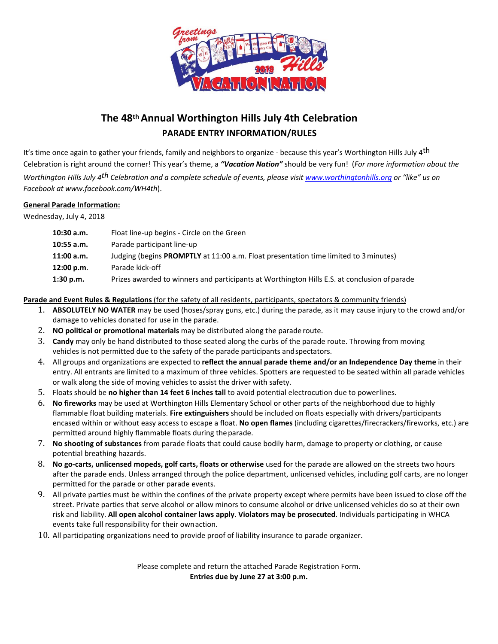

# **The 48th Annual Worthington Hills July 4th Celebration PARADE ENTRY INFORMATION/RULES**

It's time once again to gather your friends, family and neighbors to organize - because this year's Worthington Hills July 4<sup>th</sup> Celebration is right around the corner! This year's theme, a *"Vacation Nation"* should be very fun! (*For more information about the Worthington Hills July 4th Celebration and a complete schedule of events, please visit www.worthingtonhills.org or "like" us on Facebook at www.facebook.com/WH4th*).

## **General Parade Information:**

Wednesday, July 4, 2018

| 10:30 a.m. | Float line-up begins - Circle on the Green                                                   |  |
|------------|----------------------------------------------------------------------------------------------|--|
| 10:55 a.m. | Parade participant line-up                                                                   |  |
| 11:00 a.m. | Judging (begins <b>PROMPTLY</b> at 11:00 a.m. Float presentation time limited to 3 minutes)  |  |
| 12:00 p.m. | Parade kick-off                                                                              |  |
| 1:30 p.m.  | Prizes awarded to winners and participants at Worthington Hills E.S. at conclusion of parade |  |

## **Parade and Event Rules & Regulations** (for the safety of all residents, participants, spectators & community friends)

- 1. **ABSOLUTELY NO WATER** may be used (hoses/spray guns, etc.) during the parade, as it may cause injury to the crowd and/or damage to vehicles donated for use in the parade.
- 2. **NO political or promotional materials** may be distributed along the parade route.
- 3. **Candy** may only be hand distributed to those seated along the curbs of the parade route. Throwing from moving vehicles is not permitted due to the safety of the parade participants andspectators.
- 4. All groups and organizations are expected to **reflect the annual parade theme and/or an Independence Day theme** in their entry. All entrants are limited to a maximum of three vehicles. Spotters are requested to be seated within all parade vehicles or walk along the side of moving vehicles to assist the driver with safety.
- 5. Floats should be **no higher than 14 feet 6 inches tall** to avoid potential electrocution due to powerlines.
- 6. **No fireworks** may be used at Worthington Hills Elementary School or other parts of the neighborhood due to highly flammable float building materials. **Fire extinguishers** should be included on floats especially with drivers/participants encased within or without easy access to escape a float. **No open flames** (including cigarettes/firecrackers/fireworks, etc.) are permitted around highly flammable floats during the parade.
- 7. **No shooting of substances** from parade floats that could cause bodily harm, damage to property or clothing, or cause potential breathing hazards.
- 8. **No go‐carts, unlicensed mopeds, golf carts, floats or otherwise** used for the parade are allowed on the streets two hours after the parade ends. Unless arranged through the police department, unlicensed vehicles, including golf carts, are no longer permitted for the parade or other parade events.
- 9. All private parties must be within the confines of the private property except where permits have been issued to close off the street. Private parties that serve alcohol or allow minors to consume alcohol or drive unlicensed vehicles do so at their own risk and liability. **All open alcohol container laws apply**. **Violators may be prosecuted**. Individuals participating in WHCA events take full responsibility for their ownaction.
- 10. All participating organizations need to provide proof of liability insurance to parade organizer.

Please complete and return the attached Parade Registration Form. **Entries due by June 27 at 3:00 p.m.**